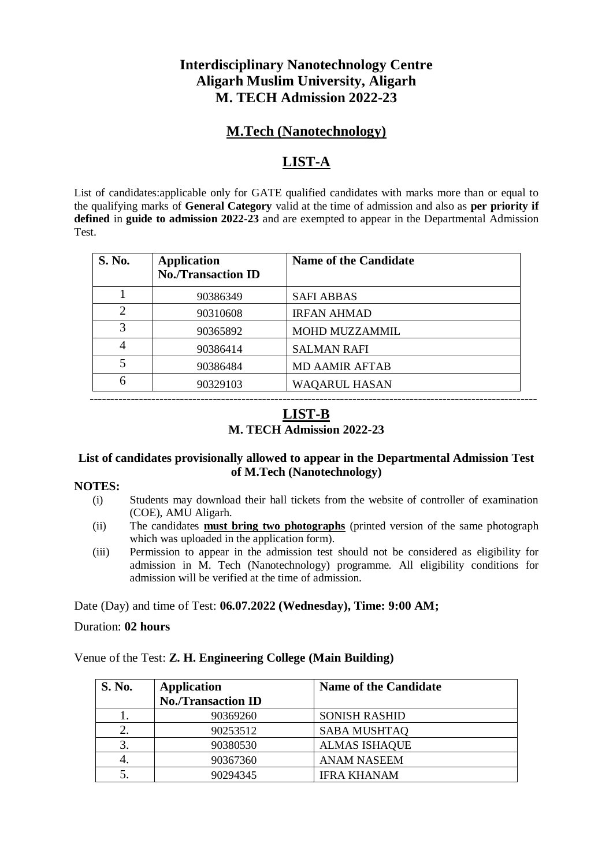## **Interdisciplinary Nanotechnology Centre Aligarh Muslim University, Aligarh M. TECH Admission 2022-23**

## **M.Tech (Nanotechnology)**

## **LIST-A**

List of candidates:applicable only for GATE qualified candidates with marks more than or equal to the qualifying marks of **General Category** valid at the time of admission and also as **per priority if defined** in **guide to admission 2022-23** and are exempted to appear in the Departmental Admission Test.

| <b>S. No.</b>               | <b>Application</b><br><b>No./Transaction ID</b> | <b>Name of the Candidate</b> |
|-----------------------------|-------------------------------------------------|------------------------------|
|                             | 90386349                                        | <b>SAFI ABBAS</b>            |
| $\mathcal{D}_{\mathcal{L}}$ | 90310608                                        | <b>IRFAN AHMAD</b>           |
| $\mathcal{R}$               | 90365892                                        | MOHD MUZZAMMIL               |
|                             | 90386414                                        | <b>SALMAN RAFI</b>           |
| $\overline{\mathcal{L}}$    | 90386484                                        | <b>MD AAMIR AFTAB</b>        |
| 6                           | 90329103                                        | <b>WAQARUL HASAN</b>         |

## **LIST-B M. TECH Admission 2022-23**

-------------------------------------------------------------------------------------------------------------

#### **List of candidates provisionally allowed to appear in the Departmental Admission Test of M.Tech (Nanotechnology)**

#### **NOTES:**

- (i) Students may download their hall tickets from the website of controller of examination (COE), AMU Aligarh.
- (ii) The candidates **must bring two photographs** (printed version of the same photograph which was uploaded in the application form).
- (iii) Permission to appear in the admission test should not be considered as eligibility for admission in M. Tech (Nanotechnology) programme. All eligibility conditions for admission will be verified at the time of admission.

Date (Day) and time of Test: **06.07.2022 (Wednesday), Time: 9:00 AM;** 

Duration: **02 hours**

#### Venue of the Test: **Z. H. Engineering College (Main Building)**

| <b>S. No.</b> | <b>Application</b>        | <b>Name of the Candidate</b> |
|---------------|---------------------------|------------------------------|
|               | <b>No./Transaction ID</b> |                              |
|               | 90369260                  | <b>SONISH RASHID</b>         |
|               | 90253512                  | <b>SABA MUSHTAQ</b>          |
| 3.            | 90380530                  | <b>ALMAS ISHAQUE</b>         |
|               | 90367360                  | ANAM NASEEM                  |
|               | 90294345                  | <b>IFRA KHANAM</b>           |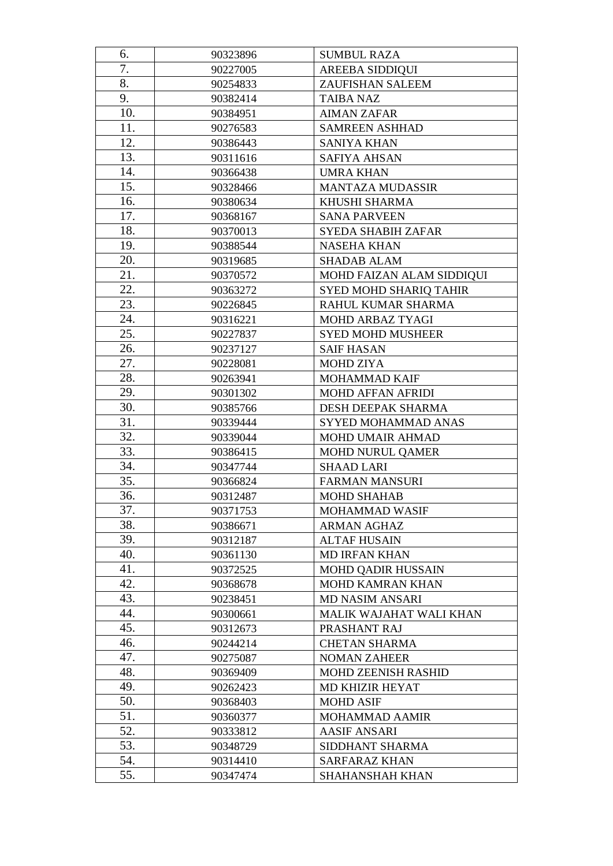| 6.         | 90323896             | <b>SUMBUL RAZA</b>                        |  |
|------------|----------------------|-------------------------------------------|--|
| 7.         | 90227005             | <b>AREEBA SIDDIQUI</b>                    |  |
| 8.         | 90254833             | <b>ZAUFISHAN SALEEM</b>                   |  |
| 9.         | 90382414             | <b>TAIBA NAZ</b>                          |  |
| 10.        | 90384951             | <b>AIMAN ZAFAR</b>                        |  |
| 11.        | 90276583             | <b>SAMREEN ASHHAD</b>                     |  |
| 12.        | 90386443             | <b>SANIYA KHAN</b>                        |  |
| 13.        | 90311616             | <b>SAFIYA AHSAN</b>                       |  |
| 14.        | 90366438             | <b>UMRA KHAN</b>                          |  |
| 15.        | 90328466             | MANTAZA MUDASSIR                          |  |
| 16.        | 90380634             | KHUSHI SHARMA                             |  |
| 17.        | 90368167             | <b>SANA PARVEEN</b>                       |  |
| 18.        | 90370013             | <b>SYEDA SHABIH ZAFAR</b>                 |  |
| 19.        | 90388544             | <b>NASEHA KHAN</b>                        |  |
| 20.        | 90319685             | <b>SHADAB ALAM</b>                        |  |
| 21.        | 90370572             | MOHD FAIZAN ALAM SIDDIQUI                 |  |
| 22.        | 90363272             | SYED MOHD SHARIQ TAHIR                    |  |
| 23.        | 90226845             | RAHUL KUMAR SHARMA                        |  |
| 24.        | 90316221             | MOHD ARBAZ TYAGI                          |  |
| 25.        | 90227837             | <b>SYED MOHD MUSHEER</b>                  |  |
| 26.        | 90237127             | <b>SAIF HASAN</b>                         |  |
| 27.        | 90228081             | <b>MOHD ZIYA</b>                          |  |
| 28.        | 90263941             | MOHAMMAD KAIF                             |  |
| 29.        | 90301302             | <b>MOHD AFFAN AFRIDI</b>                  |  |
| 30.        | 90385766             | DESH DEEPAK SHARMA                        |  |
| 31.        | 90339444             | SYYED MOHAMMAD ANAS                       |  |
| 32.        | 90339044             | MOHD UMAIR AHMAD                          |  |
| 33.        | 90386415             | <b>MOHD NURUL QAMER</b>                   |  |
| 34.        | 90347744             | <b>SHAAD LARI</b>                         |  |
| 35.        | 90366824             | <b>FARMAN MANSURI</b>                     |  |
| 36.        | 90312487             | <b>MOHD SHAHAB</b>                        |  |
| 37.        | 90371753             | MOHAMMAD WASIF                            |  |
| 38.        | 90386671             | <b>ARMAN AGHAZ</b>                        |  |
| 39.        | 90312187             | <b>ALTAF HUSAIN</b>                       |  |
| 40.        | 90361130             | <b>MD IRFAN KHAN</b>                      |  |
| 41.        | 90372525             | <b>MOHD QADIR HUSSAIN</b>                 |  |
| 42.        | 90368678             | <b>MOHD KAMRAN KHAN</b>                   |  |
| 43.        | 90238451             | <b>MD NASIM ANSARI</b>                    |  |
| 44.        | 90300661             | MALIK WAJAHAT WALI KHAN                   |  |
| 45.        | 90312673             | PRASHANT RAJ                              |  |
| 46.        | 90244214             | <b>CHETAN SHARMA</b>                      |  |
| 47.        | 90275087             | <b>NOMAN ZAHEER</b>                       |  |
| 48.        | 90369409             | MOHD ZEENISH RASHID                       |  |
| 49.<br>50. | 90262423             | <b>MD KHIZIR HEYAT</b>                    |  |
| 51.        | 90368403<br>90360377 | <b>MOHD ASIF</b><br><b>MOHAMMAD AAMIR</b> |  |
| 52.        | 90333812             | <b>AASIF ANSARI</b>                       |  |
| 53.        | 90348729             | SIDDHANT SHARMA                           |  |
| 54.        | 90314410             | <b>SARFARAZ KHAN</b>                      |  |
| 55.        | 90347474             | <b>SHAHANSHAH KHAN</b>                    |  |